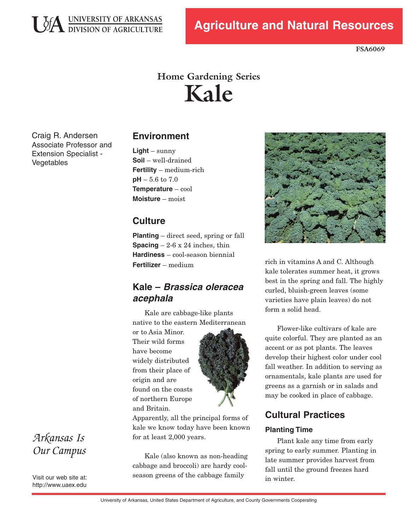

**FSA6069** 

# **Home Gardening Series Kale**

Craig R. Andersen Associate Professor and Extension Specialist -Vegetables

### **Environment**

**Light** – sunny **Soil** – well-drained **Fertility** – medium-rich **pH** – 5.6 to 7.0 **Temperature** – cool **Moisture** – moist

### **Culture**

**Planting** – direct seed, spring or fall **Spacing**  $-2-6 \times 24$  inches, thin **Hardiness** – cool-season biennial **Fertilizer** – medium

### **Kale – Brassica oleracea acephala**

Kale are cabbage-like plants native to the eastern Mediterranean

or to Asia Minor. Their wild forms have become widely distributed from their place of origin and are found on the coasts of northern Europe and Britain.



Apparently, all the principal forms of kale we know today have been known for at least 2,000 years.

Kale (also known as non-heading cabbage and broccoli) are hardy coolseason greens of the cabbage family



rich in vitamins A and C. Although kale tolerates summer heat, it grows best in the spring and fall. The highly curled, bluish-green leaves (some varieties have plain leaves) do not form a solid head.

Flower-like cultivars of kale are quite colorful. They are planted as an accent or as pot plants. The leaves develop their highest color under cool fall weather. In addition to serving as ornamentals, kale plants are used for greens as a garnish or in salads and may be cooked in place of cabbage.

### **Cultural Practices**

#### **Planting Time**

Plant kale any time from early spring to early summer. Planting in late summer provides harvest from fall until the ground freezes hard in winter.

## *Arkansas Is Our Campus*

Visit our web site at: http://www.uaex.edu